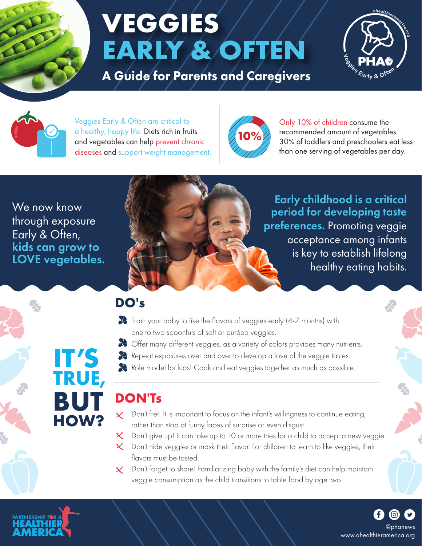

# **VEGGIES EARLY & OFTEN**

A Guide for Parents and Caregivers





Veggies Early & Often are critical to a healthy, happy life. Diets rich in fruits and vegetables can help prevent chronic diseases and support weight management.



Only 10% of children consume the recommended amount of vegetables. 30% of toddlers and preschoolers eat less than one serving of vegetables per day.

We now know through exposure Early & Often, kids can grow to LOVE vegetables.

**IT'S** 

**TRUE,** 

**BUT** 

**HOW?**



Early childhood is a critical period for developing taste preferences. Promoting veggie acceptance among infants is key to establish lifelong healthy eating habits.

### **DO's**

- Train your baby to like the flavors of veggies early (4-7 months) with one to two spoonfuls of soft or puréed veggies.
- Offer many different veggies, as a variety of colors provides many nutrients.
- Repeat exposures over and over to develop a love of the veggie tastes.
- Role model for kids! Cook and eat veggies together as much as possible.

## **DON'Ts**

- Don't fret! It is important to focus on the infant's willingness to continue eating,  $\boldsymbol{\mathsf{X}}$  . rather than stop at funny faces of surprise or even disgust.
- $\times$  Don't give up! It can take up to 10 or more tries for a child to accept a new veggie.
- $\times$  Don't hide veggies or mask their flavor. For children to learn to like veggies, their flavors must be tasted.
- $\times$  Don't forget to share! Familiarizing baby with the family's diet can help maintain veggie consumption as the child transitions to table food by age two.



www.ahealthieramerica.org @phanews